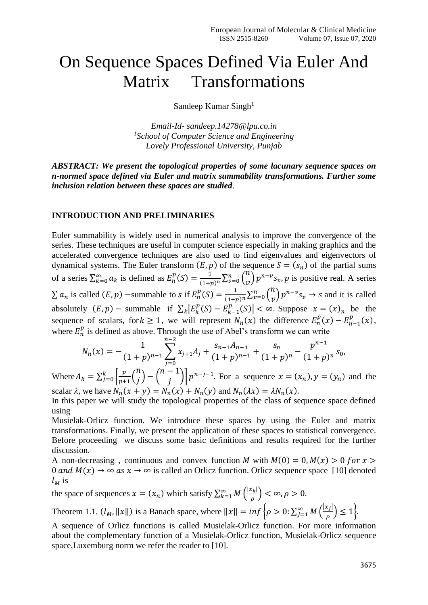## On Sequence Spaces Defined Via Euler And Matrix Transformations

Sandeep Kumar Singh $1$ 

*Email-Id- sandeep.14278@lpu.co.in 1 School of Computer Science and Engineering Lovely Professional University, Punjab*

*ABSTRACT: We present the topological properties of some lacunary sequence spaces on n-normed space defined via Euler and matrix summability transformations. Further some inclusion relation between these spaces are studied*.

## **INTRODUCTION AND PRELIMINARIES**

Euler summability is widely used in numerical analysis to improve the convergence of the series. These techniques are useful in computer science especially in making graphics and the accelerated convergence techniques are also used to find eigenvalues and eigenvectors of dynamical systems. The Euler transform  $(E, p)$  of the sequence  $S = (s_n)$  of the partial sums of a series  $\sum_{k=0}^{\infty} a_k$  is defined as  $E_n^p(S) = \frac{1}{(1+p)^n} \sum_{v=0}^n {n \choose v}$  $\binom{n}{v} p^{n-v} s_v$ , *p* is positive real. A series  $\sum a_n$  is called  $(E, p)$  –summable to s if  $E_n^p(S) = \frac{1}{(1+p)^n} \sum_{v=0}^n {n \choose v}$  $\binom{n}{v} p^{n-v} s_v \to s$  and it is called absolutely  $(E, p)$  – summable if  $\sum_{k} |E_{k}^{p}(S) - E_{k-1}^{p}|$  $|k|E_k^p(S) - E_{k-1}^p(S)| < \infty$ . Suppose  $x = (x)_n$  be the sequence of scalars, for  $k \ge 1$ , we will represent  $N_n(x)$  the difference  $E_n^p(x) - E_{n-1}^p(x)$ , where  $E_n^p$  is defined as above. Through the use of Abel's transform we can write

$$
N_n(x) = -\frac{1}{(1+p)^{n-1}} \sum_{j=0}^{n-2} x_{j+1} A_j + \frac{s_{n-1} A_{n-1}}{(1+p)^{n-1}} + \frac{s_n}{(1+p)^n} - \frac{p^{n-1}}{(1+p)^n} s_0,
$$

Where  $A_k = \sum_{j=0}^k \left| \frac{p}{n+1} \right|$  $\frac{p}{p+1}$  $\binom{n}{j} - \binom{n-1}{j}$  $\lim_{j=0}^{k} \left[ \frac{p}{p+1} {n \choose j} - {n-1 \choose j} \right] p^{n-j-1}$ . For a sequence  $x = (x_n)$ ,  $y = (y_n)$  and the scalar  $\lambda$ , we have  $N_n(x + y) = N_n(x) + N_n(y)$  and  $N_n(\lambda x) = \lambda N_n(x)$ .

In this paper we will study the topological properties of the class of sequence space defined using

Musielak-Orlicz function. We introduce these spaces by using the Euler and matrix transformations. Finally, we present the application of these spaces to statistical convergence. Before proceeding we discuss some basic definitions and results required for the further discussion.

A non-decreasing, continuous and convex function M with  $M(0) = 0$ ,  $M(x) > 0$  for  $x > 0$ 0 and  $M(x) \to \infty$  as  $x \to \infty$  is called an Orlicz function. Orlicz sequence space [10] denoted  $l_M$  is

the space of sequences  $x = (x_n)$  which satisfy  $\sum_{k=1}^{\infty} M\left(\frac{|x_k|}{\delta}\right)$  $\sum_{k=1}^{\infty}M\left(\frac{|x_k|}{\rho}\right)<\infty, \rho>0.$ 

Theorem 1.1.  $(l_M, ||x||)$  is a Banach space, where  $||x|| = inf \{ \rho > 0 : \sum_{j=1}^{\infty} M \left( \frac{|x_j|}{\rho} \right) \}$  $\sum_{j=1}^{\infty} M\left(\frac{|x_j|}{\rho}\right) \leq 1$ .

A sequence of Orlicz functions is called Musielak-Orlicz function. For more information about the complementary function of a Musielak-Orlicz function, Musielak-Orlicz sequence space,Luxemburg norm we refer the reader to [10].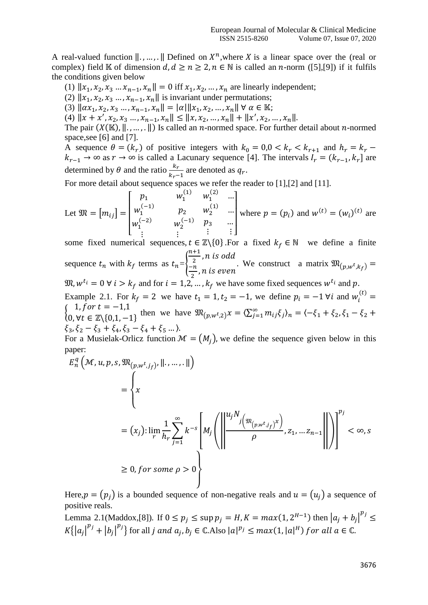A real-valued function  $\parallel$ , ...,  $\parallel$  Defined on  $X^n$ , where X is a linear space over the (real or complex) field K of dimension  $d, d \ge n \ge 2, n \in \mathbb{N}$  is called an *n*-norm ([5],[9]) if it fulfils the conditions given below

- (1)  $||x_1, x_2, x_3 ... x_{n-1}, x_n|| = 0$  iff  $x_1, x_2, ..., x_n$  are linearly independent;
- (2)  $||x_1, x_2, x_3, \ldots, x_{n-1}, x_n||$  is invariant under permutations;
- (3)  $\|\alpha x_1, x_2, x_3, \ldots, x_{n-1}, x_n\| = |\alpha| \|x_1, x_2, \ldots, x_n\| \forall \alpha \in \mathbb{K};$
- (4)  $||x + x', x_2, x_3, ..., x_{n-1}, x_n|| \le ||x, x_2, ..., x_n|| + ||x', x_2, ..., x_n||.$

The pair  $(X(\mathbb{K}), ||, ..., ||)$  Is called an *n*-normed space. For further detail about *n*-normed space, see [6] and [7].

A sequence  $\theta = (k_r)$  of positive integers with  $k_0 = 0.0 < k_r < k_{r+1}$  and  $h_r = k_r$  $k_{r-1} \to \infty$  as  $r \to \infty$  is called a Lacunary sequence [4]. The intervals  $I_r = (k_{r-1}, k_r]$  are determined by  $\theta$  and the ratio  $\frac{k_r}{k_r-1}$  are denoted as  $q_r$ .

For more detail about sequence spaces we refer the reader to [1],[2] and [11].

Let 
$$
\mathfrak{M} = [m_{ij}] =
$$

$$
\begin{bmatrix} p_1 & w_1^{(1)} & w_1^{(2)} & \dots \\ w_1^{(-1)} & p_2 & w_2^{(1)} & \dots \\ w_1^{(-2)} & w_2^{(-1)} & p_3 & \dots \\ \vdots & \vdots & \vdots & \vdots & \vdots \end{bmatrix}
$$
 where  $p = (p_i)$  and  $w^{(t)} = (w_i)^{(t)}$  are

some fixed numerical sequences,  $t \in \mathbb{Z} \setminus \{0\}$ . For a fixed  $k_f \in \mathbb{N}$  we define a finite  $n+1$  $\frac{1}{2}$ , n is odd

sequence  $t_n$  with  $k_f$  terms as  $t_n = \}$  $-n$  $\frac{1}{2}$   $\frac{n}{2}$ , *n* is even.<br> $\frac{n}{2}$ , *n* is even.

 $\mathfrak{M}, w^{t_i} = 0 \ \forall \ i > k_f$  and for  $i = 1, 2, ..., k_f$  we have some fixed sequences  $w^{t_i}$  and p. Example 2.1. For  $k_f = 2$  we have  $t_1 = 1, t_2 = -1$ , we define  $p_i = -1$   $\forall i$  and  $w_i^{(t)} =$  $\{0, \forall t \in \mathbb{Z} \setminus \{0,1,-1\} \text{ then we have } \mathfrak{M}_{(p,w^t,2)}x = \langle \sum_{j=1}^{\infty} m_{ij} \xi_j \rangle_n = \langle -\xi_1 + \xi_2, \xi_1 - \xi_2 + \xi_2 \rangle$  $\int 1, for t = -1,1$  $\xi_3$ ,  $\xi_2 - \xi_3 + \xi_4$ ,  $\xi_3 - \xi_4 + \xi_5$  ...).

For a Musielak-Orlicz function  $\mathcal{M} = (M_i)$ , we define the sequence given below in this paper:

$$
E_n^q \left( \mathcal{M}, u, p, s, \mathfrak{M}_{(p, w^t, j_f)}, \|, \dots, \| \right)
$$
  
= 
$$
\left\{ x
$$
  
= 
$$
(x_j): \lim_{r} \frac{1}{h_r} \sum_{j=1}^{\infty} k^{-s} \left[ M_j \left( \left\| \frac{u_j N_j \left( \mathfrak{M}_{(p, w^t, j_f)} \right) \right)}{\rho}, z_1, \dots z_{n-1} \right\| \right) \right\}^{p_j} < \infty, s
$$
  

$$
\geq 0, \text{ for some } \rho > 0
$$

Here,  $p = (p_j)$  is a bounded sequence of non-negative reals and  $u = (u_j)$  a sequence of positive reals.

Lemma 2.1(Maddox, [8]). If  $0 \le p_j \le \sup p_j = H, K = max(1, 2^{H-1})$  then  $|a_j + b_j|^{p_j} \le$  $K\{ |a_j|^{p_j} + |b_j|^{p_j} \}$  for all j and  $a_j, b_j \in \mathbb{C}$ . Also  $|a|^{p_j} \le max(1, |a|^H)$  for all  $a \in \mathbb{C}$ .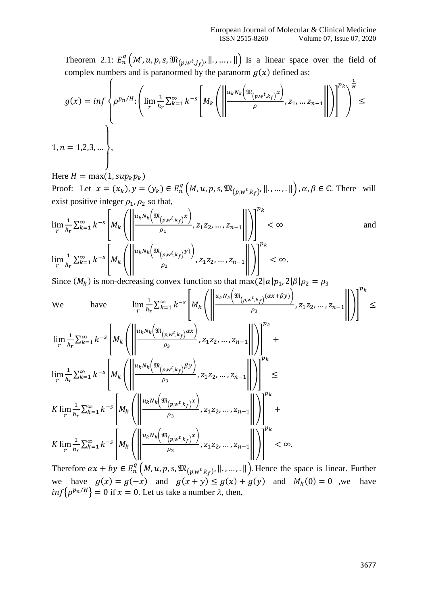Theorem 2.1:  $E_n^q(\mathcal{M}, u, p, s, \mathfrak{M}_{(p,w^t,j_f)}, \|, \ldots, \|)$  Is a linear space over the field of complex numbers and is paranormed by the paranorm  $g(x)$  defined as:

$$
g(x) = inf \left\{ \rho^{p_n/H} \cdot \left( \lim_{r} \frac{1}{h_r} \sum_{k=1}^{\infty} k^{-s} \left[ M_k \left( \left\| \frac{u_k N_k \left( \mathfrak{M}_{(p,w^t,k_f)} x \right)}{\rho}, z_1, \dots z_{n-1} \right\| \right) \right]^{p_k} \right\}^{\frac{1}{H}} \le
$$
  

$$
n = 1, 2, 3, \dots \right\},
$$

} Here  $H = \max(1, \sup_k p_k)$ 

1, = 1,2,3, …

Proof: Let  $x = (x_k)$ ,  $y = (y_k) \in E_n^q(M, u, p, s, \mathfrak{M}_{(p,w^t,k_f)}, ||, \dots, ||)$ ,  $\alpha, \beta \in \mathbb{C}$ . There will exist positive integer  $\rho_1$ ,  $\rho_2$  so that,<br> $\begin{bmatrix} 1 & 1 \end{bmatrix}$  and  $\begin{bmatrix} 1 & 1 \end{bmatrix}$  and  $\begin{bmatrix} 1 & 1 \end{bmatrix}$ 

$$
\lim_{r} \frac{1}{h_{r}} \sum_{k=1}^{\infty} k^{-s} \left[ M_{k} \left( \left\| \frac{u_{k} N_{k} \left( \mathfrak{M}_{(p, w^{t}, k_{f})} x\right)}{\rho_{1}}, z_{1} z_{2}, ..., z_{n-1} \right\| \right) \right]^{p_{k}} < \infty
$$
\n
$$
\lim_{r} \frac{1}{h_{r}} \sum_{k=1}^{\infty} k^{-s} \left[ M_{k} \left( \left\| \frac{u_{k} N_{k} \left( \mathfrak{M}_{(p, w^{t}, k_{f})} y\right)}{\rho_{2}}, z_{1} z_{2}, ..., z_{n-1} \right\| \right) \right]^{p_{k}} < \infty.
$$
\n
$$
\lim_{r \to 0} \left[ M_{k} \left( \left\| \frac{u_{k} N_{k} \left( \mathfrak{M}_{(p, w^{t}, k_{f})} y\right)}{\rho_{2}}, z_{1} z_{2}, ..., z_{n-1} \right\| \right) \right]^{p_{k}} < \infty.
$$

Since  $(M_k)$  is non-decreasing convex function so that max $\left(\frac{2|\alpha|p_1}{2|\beta|}\right)_{2} = \rho_3$ 

We have 
$$
\lim_{r} \frac{1}{h_{r}} \sum_{k=1}^{\infty} k^{-s} \left[ M_{k} \left( \left\| \frac{u_{k} N_{k} \left( \mathfrak{M}_{(p, w^{t}, k_{f})} (\alpha x + \beta y) \right)}{\rho_{3}}, z_{1} z_{2}, ..., z_{n-1} \right\| \right) \right]^{p_{k}} \leq
$$

$$
\lim_{r} \frac{1}{h_{r}} \sum_{k=1}^{\infty} k^{-s} \left[ M_{k} \left( \left\| \frac{u_{k} N_{k} \left( \mathfrak{M}_{(p, w^{t}, k_{f})} (\alpha x) \right)}{\rho_{3}}, z_{1} z_{2}, ..., z_{n-1} \right\| \right) \right]^{p_{k}} +
$$

$$
\lim_{r} \frac{1}{h_{r}} \sum_{k=1}^{\infty} k^{-s} \left[ M_{k} \left( \left\| \frac{u_{k} N_{k} \left( \mathfrak{M}_{(p, w^{t}, k_{f})} (\beta y) \right)}{\rho_{3}}, z_{1} z_{2}, ..., z_{n-1} \right\| \right) \right]^{p_{k}} \leq
$$

$$
K \lim_{r} \frac{1}{h_{r}} \sum_{k=1}^{\infty} k^{-s} \left[ M_{k} \left( \left\| \frac{u_{k} N_{k} \left( \mathfrak{M}_{(p, w^{t}, k_{f})} (\alpha y) \right)}{\rho_{3}}, z_{1} z_{2}, ..., z_{n-1} \right\| \right) \right]^{p_{k}} +
$$

$$
K \lim_{r} \frac{1}{h_{r}} \sum_{k=1}^{\infty} k^{-s} \left[ M_{k} \left( \left\| \frac{u_{k} N_{k} \left( \mathfrak{M}_{(p, w^{t}, k_{f})} (\alpha y) \right)}{\rho_{3}}, z_{1} z_{2}, ..., z_{n-1} \right\| \right) \right]^{p_{k}} < \infty.
$$

Therefore  $\alpha x + by \in E_n^q(M, u, p, s, \mathfrak{M}_{(p,w^t,k_f)}, ||, ..., ||)$ . Hence the space is linear. Further we have  $g(x) = g(-x)$  and  $g(x + y) \le g(x) + g(y)$  and  $M_k(0) = 0$ , we have  $inf{\rho^{p_n/H}} = 0$  if  $x = 0$ . Let us take a number  $\lambda$ , then,

 $\mathbf{u} \cdot \mathbf{v}$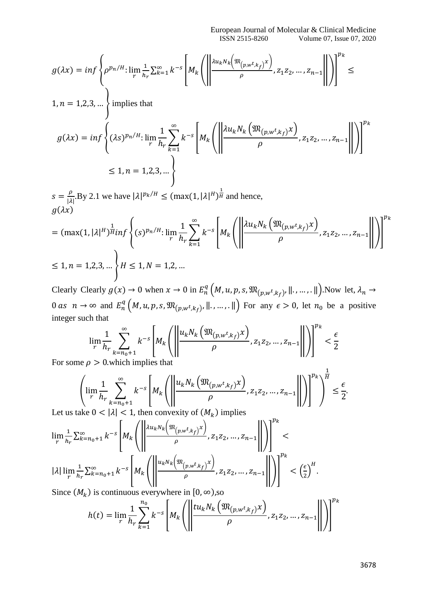European Journal of Molecular & Clinical Medicine ISSN 2515-8260 Volume 07, Issue 07, 2020

$$
g(\lambda x) = inf \left\{ \rho^{p_n/H} : \lim_{r} \frac{1}{h_r} \sum_{k=1}^{\infty} k^{-s} \left[ M_k \left( \left\| \frac{\lambda u_k N_k \left( \mathfrak{M}_{p,w^t,k_f} \right) x \right)}{\rho}, z_1 z_2, \dots, z_{n-1} \right\| \right) \right\}^{p_k} \leq
$$

 $1, n = 1,2,3,...$  implies that

$$
g(\lambda x) = inf \left\{ (\lambda s)^{p_n/H} : \lim_{r} \frac{1}{h_r} \sum_{k=1}^{\infty} k^{-s} \left[ M_k \left( \left\| \frac{\lambda u_k N_k \left( \mathfrak{M}_{(p,w^t,k_f)} \right) \lambda}{\rho}, z_1 z_2, ..., z_{n-1} \right\| \right) \right]^{p_k} \right\}
$$
  

$$
\leq 1, n = 1, 2, 3, ...
$$

 $s=\frac{\rho}{\sqrt{2}}$  $\frac{\rho}{|\lambda|}$ . By 2.1 we have  $|\lambda|^{p_k/H} \leq (\max(1,|\lambda|^H)^{\frac{1}{H}})$  and hence,  $g(\lambda x)$ 

$$
= (\max(1, |\lambda|^H)^{\frac{1}{H}} \inf \left\{ (s)^{p_n/H} : \lim_{r} \frac{1}{h_r} \sum_{k=1}^{\infty} k^{-s} \left[ M_k \left( \left\| \frac{\lambda u_k N_k \left( \mathfrak{M}_{(p,w^t,k_f)} x \right)}{\rho}, z_1 z_2, ..., z_{n-1} \right\| \right) \right]^{p_k} \right\}
$$
  

$$
\leq 1, n = 1, 2, 3, ... \left\} H \leq 1, N = 1, 2, ...
$$

Clearly Clearly  $g(x) \to 0$  when  $x \to 0$  in  $E_n^q(M, u, p, s, \mathfrak{M}_{(p,w^t,k_f)}, \|, \ldots, \|)$ . Now let,  $\lambda_n \to 0$ 0 as  $n \to \infty$  and  $E_n^q(M, u, p, s, \mathfrak{M}_{(p,w^t,k_f)}, \|., \dots, \|)$  For any  $\epsilon > 0$ , let  $n_0$  be a positive integer such that

$$
\lim_{r} \frac{1}{h_r} \sum_{k=n_0+1}^{\infty} k^{-s} \left[ M_k \left( \left\| \frac{u_k N_k \left( \mathfrak{M}_{(p,w^t,k_f)} x \right)}{\rho}, z_1 z_2, \dots, z_{n-1} \right\| \right) \right]^{p_k} < \frac{\epsilon}{2}
$$

For some  $\rho > 0$  which implies that

$$
\left(\lim_{r} \frac{1}{h_{r}} \sum_{k=n_{0}+1}^{\infty} k^{-s} \left[M_{k}\left(\left\|\frac{u_{k}N_{k}\left(\mathfrak{M}_{(p,w^{t},k_{f})} \chi\right)}{\rho}, z_{1} z_{2}, \ldots, z_{n-1}\right\|\right)\right]^{p_{k}}\right)^{\overline{H}} \leq \frac{\epsilon}{2}.
$$
  
ake 0  $\leq |\lambda| \leq 1$  then convexity of  $(M_{\epsilon})$  implies

Let us take  $0 < |\lambda| < 1$ , then convexity of  $(M_k)$  implies

$$
\lim_{r} \frac{1}{h_r} \sum_{k=n_0+1}^{\infty} k^{-s} \left[ M_k \left( \left\| \frac{\lambda u_k N_k \left( \mathfrak{M}_{(p,w^t,k_f)} x \right)}{\rho}, z_1 z_2, \dots, z_{n-1} \right\| \right) \right]^{p_k} \n|\lambda| \lim_{r} \frac{1}{h_r} \sum_{k=n_0+1}^{\infty} k^{-s} \left[ M_k \left( \left\| \frac{u_k N_k \left( \mathfrak{M}_{(p,w^t,k_f)} x \right)}{\rho}, z_1 z_2, \dots, z_{n-1} \right\| \right) \right]^{p_k} < \left( \frac{\epsilon}{2} \right)^H.
$$

Since  $(M_k)$  is continuous everywhere in [0,  $\infty$ ), so

$$
h(t) = \lim_{r} \frac{1}{h_r} \sum_{k=1}^{n_0} k^{-s} \left[ M_k \left( \left\| \frac{tu_k N_k \left( \mathfrak{M}_{(p,w^t,k_f)} x \right)}{\rho}, z_1 z_2, ..., z_{n-1} \right\| \right) \right]^{p_k}
$$

1

 $\overline{r}$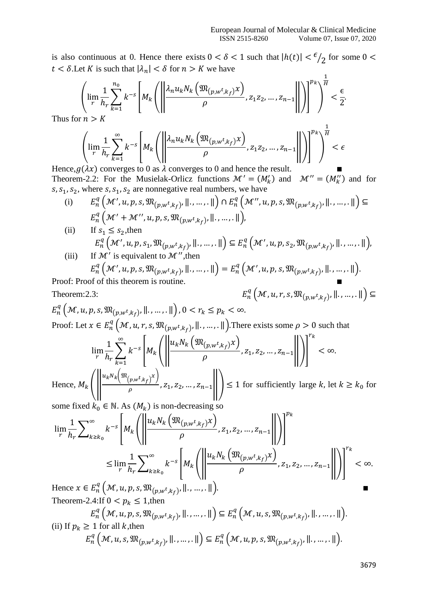.

is also continuous at 0. Hence there exists  $0 < \delta < 1$  such that  $|h(t)| < \frac{\epsilon}{2}$  for some  $0 <$  $t < \delta$ . Let K is such that  $|\lambda_n| < \delta$  for  $n > K$  we have 1

$$
\left(\lim_{r} \frac{1}{h_{r}} \sum_{k=1}^{n_{0}} k^{-s} \left[M_{k}\left(\left\|\frac{\lambda_{n} u_{k} N_{k}\left(\mathfrak{M}_{(p, w^{t}, k_{f})} x\right)}{\rho}, z_{1} z_{2}, \dots, z_{n-1}\right\|\right)\right]^{p_{k}}\right)^{\overline{H}} < \frac{\epsilon}{2}.
$$

Thus for  $n > K$ 

$$
\left(\lim\frac{1}{r}\sum_{k=1}^{\infty}k^{-s}\left[M_k\left(\left\|\frac{\lambda_n u_kN_k\left(\mathfrak{M}_{\left(p,w^t,k_f\right)}x\right)}{\rho},z_1z_2,\ldots,z_{n-1}\right\|\right)\right]^{p_k}\right)^{\frac{1}{H}} < \epsilon
$$

Hence,  $g(\lambda x)$  converges to 0 as  $\lambda$  converges to 0 and hence the result. Theorem-2.2: For the Musielak-Orlicz functions  $\mathcal{M}' = (M'_k)$  and  $\mathcal{M}'' = (M''_k)$  and for  $s, s_1, s_2$ , where  $s, s_1, s_2$  are nonnegative real numbers, we have

(i) 
$$
E_n^q(\mathcal{M}', u, p, s, \mathfrak{M}_{(p,w^t, k_f)}, ||, ..., ||) \cap E_n^q(\mathcal{M}'', u, p, s, \mathfrak{M}_{(p,w^t, k_f)}, ||, ..., ||) \subseteq
$$
  
 $E_n^q(\mathcal{M}' + \mathcal{M}'', u, p, s, \mathfrak{M}_{(p,w^t, k_f)}, ||, ..., ||),$ 

(ii) If  $s_1 \leq s_2$ , then  $E_n^q\left(\mathcal{M}', u, p, s_1, \mathfrak{M}_{(p,w^t,k_f)}, \ldots, \mathfrak{l}\right) \subseteq E_n^q\left(\mathcal{M}', u, p, s_2, \mathfrak{M}_{(p,w^t,k_f)}, \ldots, \mathfrak{l}\right)$ (iii) If  $\mathcal{M}'$  is equivalent to  $\mathcal{M}''$ , then

$$
E_n^q\left(\mathcal{M}', u, p, s, \mathfrak{M}_{(p, w^t, k_f)}, \|\ldots\ldots\|\right) = E_n^q\left(\mathcal{M}', u, p, s, \mathfrak{M}_{(p, w^t, k_f)}, \|\ldots\ldots\|\right).
$$
  
Proof: Proof of this theorem is routine.

Theorem:2.3:

Theorem:2.3:  
\n
$$
E_n^q(\mathcal{M}, u, r, s, \mathfrak{M}_{(p,w^t, k_f)}, ||, ..., ||) \subseteq
$$
\n
$$
E_n^q(\mathcal{M}, u, p, s, \mathfrak{M}_{(p,w^t, k_f)}, ||, ..., ||) \cap \{r_k \leq p_k < \infty.
$$
\nProof: Let  $x \in E_n^q(\mathcal{M}, u, r, s, \mathfrak{M}_{(p,w^t, k_f)}, ||, ..., ||)$ . There exists some  $\rho > 0$  such that\n
$$
\lim_{h \to 0} \frac{1}{h} \sum_{k=0}^{\infty} k^{-s} \left[ \frac{\|u_k \mathcal{N}_k(\mathfrak{M}_{(p,w^t, k_f)} \times) - \|u_k \mathcal{N}_k(\mathfrak{M}_{(p,w^t, k_f)} \times) - \|u_k \mathcal{N}_k(\mathfrak{M}_{(p,w^t, k_f)} \times) - \|u_k \mathcal{N}_k(\mathfrak{M}_{(p,w^t, k_f)} \times) - \|u_k \mathcal{N}_k(\mathfrak{M}_{(p,w^t, k_f)} \times) - \|u_k \mathcal{N}_k(\mathfrak{M}_{(p,w^t, k_f)} \times) - \|u_k \mathcal{N}_k(\mathfrak{M}_{(p,w^t, k_f)} \times) - \|u_k \mathcal{N}_k(\mathfrak{M}_{(p,w^t, k_f)} \times) - \|u_k \mathcal{N}_k(\mathfrak{M}_{(p,w^t, k_f)} \times) - \|u_k \mathcal{N}_k(\mathfrak{M}_{(p,w^t, k_f)} \times) - \|u_k \mathcal{N}_k(\mathfrak{M}_{(p,w^t, k_f)} \times) - \|u_k \mathcal{N}_k(\mathfrak{M}_{(p,w^t, k_f)} \times) - \|u_k \mathcal{N}_k(\mathfrak{M}_{(p,w^t, k_f)} \times) - \|u_k \mathcal{N}_k(\mathfrak{M}_{(p,w^t, k_f)} \times) - \|u_k \mathcal{N}_k(\mathfrak{M}_{(p,w^t, k_f)} \times) - \|u_k \mathcal{N}_k(\mathfrak{M}_{(p,w^t, k_f)} \times) - \|u_k \mathcal{N}_k(\mathfrak{M}_{(p,w^t, k_f)} \times) - \|u_k \mathcal{
$$

$$
\lim_{r} \frac{1}{h_r} \sum_{k=1}^{h_r} k^{-s} \left[ M_k \left( \left\| \frac{1}{h_r} \frac{\left( \left\| \frac{1}{h_r} \sum_{k=1}^{h_r} \left( \frac{1}{h_r} \sum_{k=1}^{k-1} \frac{1}{k} \right) \right)^2}{\beta} \right\|^2} \right]^{2} \right]^{2} \leq \infty.
$$
\nce

\n
$$
M_r \left( \left\| \frac{u_k N_k \left( \mathfrak{M}(p, w^t, k_f)^2 \right)}{2} \right\|^2} \right)^2 \leq 1 \text{ for sufficiently large } k, \text{ let } k \geq 1.
$$

Hence,  $M_k$  |  $\parallel$  $\left\{ \left\lceil \frac{p(m), n + 1}{p}, Z_1, Z_2, \ldots, Z_{n-1} \right\rceil \right\}$   $\leq 1$  for sufficiently large k, let  $k \geq k_0$  for

some fixed  $k_0 \in \mathbb{N}$ . As  $(M_k)$  is non-decreasing so

$$
\lim_{r} \frac{1}{h_r} \sum_{k \ge k_0}^{\infty} k^{-s} \left[ M_k \left( \left\| \frac{u_k N_k \left( \mathfrak{M}_{(p,w^t,k_f)} \right) x}{\rho}, z_1, z_2, ..., z_{n-1} \right\| \right) \right]^{p_k}
$$
\n
$$
\le \lim_{r} \frac{1}{h_r} \sum_{k \ge k_0}^{\infty} k^{-s} \left[ M_k \left( \left\| \frac{u_k N_k \left( \mathfrak{M}_{(p,w^t,k_f)} \right) x}{\rho}, z_1, z_2, ..., z_{n-1} \right\| \right) \right]^{r_k} < \infty.
$$
\nThus,  $x \in \mathbb{F}^q$  (M,  $x, p, q, \mathfrak{M}$ )

Hence  $x \in E_n^q(\mathcal{M}, u, p, s, \mathfrak{M}_{(p, w^t, k_f)}, ||, \ldots, ||).$ Theorem-2.4:If  $0 < p_k \leq 1$ , then

$$
E_n^q\left(\mathcal{M}, u, p, s, \mathfrak{M}_{(p, w^t, k_f)}, \|\, \ldots, \|\right) \subseteq E_n^q\left(\mathcal{M}, u, s, \mathfrak{M}_{(p, w^t, k_f)}, \|\, \ldots, \|\right).
$$
\n(ii) If  $p_k \geq 1$  for all  $k$ , then

\n
$$
E_n^q\left(\mathcal{M}, u, s, \mathfrak{M}_{(p, w^t, k_f)}, \|\, \ldots, \|\right) \subseteq E_n^q\left(\mathcal{M}, u, p, s, \mathfrak{M}_{(p, w^t, k_f)}, \|\, \ldots, \|\,\right).
$$